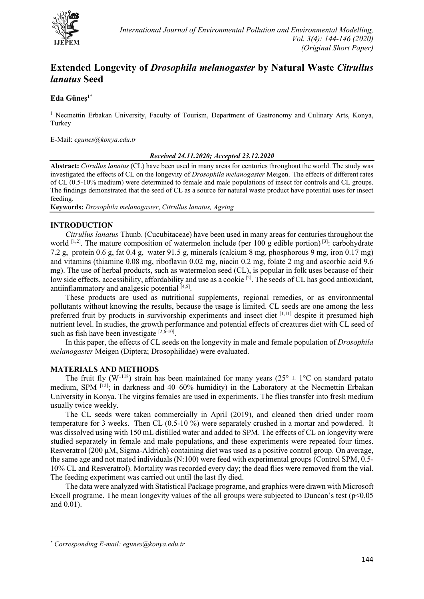

# **Extended Longevity of** *Drosophila melanogaster* **by Natural Waste** *Citrullus lanatus* **Seed**

# **Eda Güneş[1\\*](#page-0-0)**

<sup>1</sup> Necmettin Erbakan University, Faculty of Tourism, Department of Gastronomy and Culinary Arts, Konya, Turkey

E-Mail: *egunes@konya.edu.tr*

#### *Received 24.11.2020; Accepted 23.12.2020*

**Abstract:** *Citrullus lanatus* (CL) have been used in many areas for centuries throughout the world. The study was investigated the effects of CL on the longevity of *Drosophila melanogaster* Meigen. The effects of different rates of CL (0.5-10% medium) were determined to female and male populations of insect for controls and CL groups. The findings demonstrated that the seed of CL as a source for natural waste product have potential uses for insect feeding.

**Keywords:** *Drosophila melanogaster*, *Citrullus lanatus, Ageing*

# **INTRODUCTION**

*Citrullus lanatus* Thunb. (Cucubitaceae) have been used in many areas for centuries throughout the world  $^{[1,2]}$ . The mature composition of watermelon include (per 100 g edible portion)  $^{[3]}$ : carbohydrate 7.2 g, protein 0.6 g, fat 0.4 g, water 91.5 g, minerals (calcium 8 mg, phosphorous 9 mg, iron 0.17 mg) and vitamins (thiamine 0.08 mg, riboflavin 0.02 mg, niacin 0.2 mg, folate 2 mg and ascorbic acid 9.6 mg). The use of herbal products, such as watermelon seed (CL), is popular in folk uses because of their low side effects, accessibility, affordability and use as a cookie<sup>[2]</sup>. The seeds of CL has good antioxidant, antiinflammatory and analgesic potential [4,5].

These products are used as nutritional supplements, regional remedies, or as environmental pollutants without knowing the results, because the usage is limited. CL seeds are one among the less preferred fruit by products in survivorship experiments and insect diet [1,11] despite it presumed high nutrient level. In studies, the growth performance and potential effects of creatures diet with CL seed of such as fish have been investigate [2,6-10].

In this paper, the effects of CL seeds on the longevity in male and female population of *Drosophila melanogaster* Meigen (Diptera; Drosophilidae) were evaluated.

### **MATERIALS AND METHODS**

The fruit fly (W<sup>1118</sup>) strain has been maintained for many years (25<sup>o</sup>  $\pm$  1<sup>o</sup>C on standard patato medium, SPM <sup>[12]</sup>; in darkness and 40–60% humidity) in the Laboratory at the Necmettin Erbakan University in Konya. The virgins females are used in experiments. The flies transfer into fresh medium usually twice weekly.

The CL seeds were taken commercially in April (2019), and cleaned then dried under room temperature for 3 weeks. Then CL (0.5-10 %) were separately crushed in a mortar and powdered. It was dissolved using with 150 mL distilled water and added to SPM. The effects of CL on longevity were studied separately in female and male populations, and these experiments were repeated four times. Resveratrol (200 µM, Sigma-Aldrich) containing diet was used as a positive control group. On average, the same age and not mated individuals (N:100) were feed with experimental groups (Control SPM, 0.5- 10% CL and Resveratrol). Mortality was recorded every day; the dead flies were removed from the vial. The feeding experiment was carried out until the last fly died.

The data were analyzed with Statistical Package programe, and graphics were drawn with Microsoft Excell programe. The mean longevity values of the all groups were subjected to Duncan's test  $(p<0.05$ and 0.01).

<span id="page-0-0"></span><sup>\*</sup> *Corresponding E-mail: egunes@konya.edu.tr*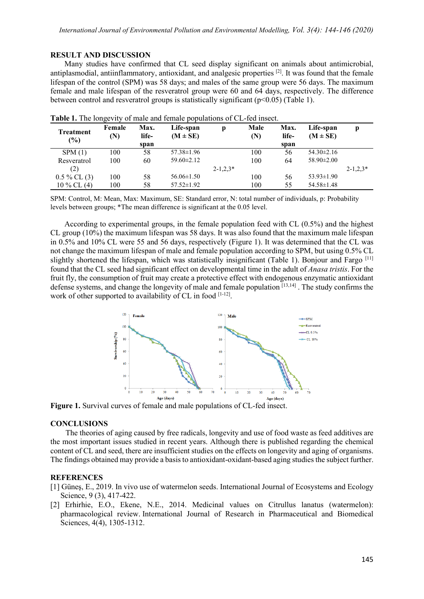#### **RESULT AND DISCUSSION**

Many studies have confirmed that CL seed display significant on animals about antimicrobial, antiplasmodial, antiinflammatory, antioxidant, and analgesic properties <sup>[2]</sup>. It was found that the female lifespan of the control (SPM) was 58 days; and males of the same group were 56 days. The maximum female and male lifespan of the resveratrol group were 60 and 64 days, respectively. The difference between control and resveratrol groups is statistically significant  $(p<0.05)$  (Table 1).

| <b>Treatment</b><br>(%) | Female<br>(N) | Max.<br>life- | Life-span<br>$(M \pm SE)$ | Ŋ               | Male<br>(N) | Max.<br>life- | Life-span<br>$(M \pm SE)$ |                 |
|-------------------------|---------------|---------------|---------------------------|-----------------|-------------|---------------|---------------------------|-----------------|
|                         |               | span          |                           |                 |             | span          |                           |                 |
| SPM(1)                  | 100           | 58            | $57.38 \pm 1.96$          |                 | 100         | 56            | $54.30 \pm 2.16$          |                 |
| Resveratrol             | 100           | 60            | $59.60 \pm 2.12$          |                 | 100         | 64            | $58.90 \pm 2.00$          |                 |
| (2)                     |               |               |                           | $2 - 1, 2, 3^*$ |             |               |                           | $2 - 1, 2, 3^*$ |
| $0.5\%$ CL $(3)$        | 100           | 58            | $56.06 \pm 1.50$          |                 | 100         | 56            | $53.93 \pm 1.90$          |                 |
| $10\%$ CL (4)           | 100           | 58            | $57.52 \pm 1.92$          |                 | 100         | 55            | $54.58 \pm 1.48$          |                 |

|  | Table 1. The longevity of male and female populations of CL-fed insect. |  |  |  |  |
|--|-------------------------------------------------------------------------|--|--|--|--|
|  |                                                                         |  |  |  |  |

SPM: Control, M: Mean, Max: Maximum, SE: Standard error, N: total number of individuals, p: Probability levels between groups; \*The mean difference is significant at the 0.05 level.

According to experimental groups, in the female population feed with CL (0.5%) and the highest CL group (10%) the maximum lifespan was 58 days. It was also found that the maximum male lifespan in 0.5% and 10% CL were 55 and 56 days, respectively (Figure 1). It was determined that the CL was not change the maximum lifespan of male and female population according to SPM, but using 0.5% CL slightly shortened the lifespan, which was statistically insignificant (Table 1). Bonjour and Fargo [11] found that the CL seed had significant effect on developmental time in the adult of *Anasa tristis*. For the fruit fly, the consumption of fruit may create a protective effect with endogenous enzymatic antioxidant defense systems, and change the longevity of male and female population [13,14] . The study confirms the work of other supported to availability of CL in food [1-12].



**Figure 1.** Survival curves of female and male populations of CL-fed insect.

## **CONCLUSIONS**

The theories of aging caused by free radicals, longevity and use of food waste as feed additives are the most important issues studied in recent years. Although there is published regarding the chemical content of CL and seed, there are insufficient studies on the effects on longevity and aging of organisms. The findings obtained may provide a basis to antioxidant-oxidant-based aging studies the subject further.

#### **REFERENCES**

- [1] Güneş, E., 2019. In vivo use of watermelon seeds. International Journal of Ecosystems and Ecology Science, 9 (3), 417-422.
- [2] Erhirhie, E.O., Ekene, N.E., 2014. Medicinal values on Citrullus lanatus (watermelon): pharmacological review. International Journal of Research in Pharmaceutical and Biomedical Sciences, 4(4), 1305-1312.